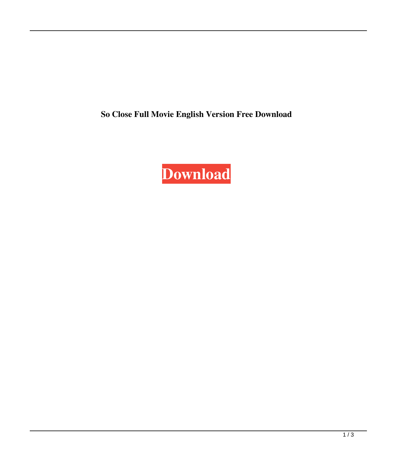**So Close Full Movie English Version Free Download**

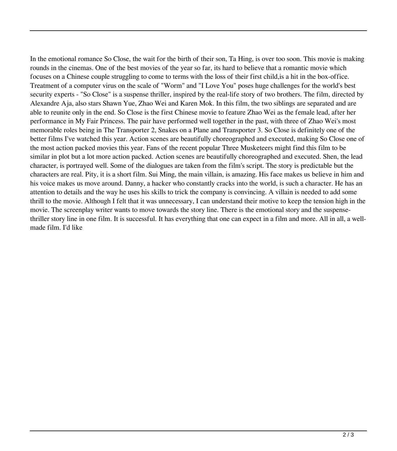In the emotional romance So Close, the wait for the birth of their son, Ta Hing, is over too soon. This movie is making rounds in the cinemas. One of the best movies of the year so far, its hard to believe that a romantic movie which focuses on a Chinese couple struggling to come to terms with the loss of their first child,is a hit in the box-office. Treatment of a computer virus on the scale of "Worm" and "I Love You" poses huge challenges for the world's best security experts - "So Close" is a suspense thriller, inspired by the real-life story of two brothers. The film, directed by Alexandre Aja, also stars Shawn Yue, Zhao Wei and Karen Mok. In this film, the two siblings are separated and are able to reunite only in the end. So Close is the first Chinese movie to feature Zhao Wei as the female lead, after her performance in My Fair Princess. The pair have performed well together in the past, with three of Zhao Wei's most memorable roles being in The Transporter 2, Snakes on a Plane and Transporter 3. So Close is definitely one of the better films I've watched this year. Action scenes are beautifully choreographed and executed, making So Close one of the most action packed movies this year. Fans of the recent popular Three Musketeers might find this film to be similar in plot but a lot more action packed. Action scenes are beautifully choreographed and executed. Shen, the lead character, is portrayed well. Some of the dialogues are taken from the film's script. The story is predictable but the characters are real. Pity, it is a short film. Sui Ming, the main villain, is amazing. His face makes us believe in him and his voice makes us move around. Danny, a hacker who constantly cracks into the world, is such a character. He has an attention to details and the way he uses his skills to trick the company is convincing. A villain is needed to add some thrill to the movie. Although I felt that it was unnecessary, I can understand their motive to keep the tension high in the movie. The screenplay writer wants to move towards the story line. There is the emotional story and the suspensethriller story line in one film. It is successful. It has everything that one can expect in a film and more. All in all, a wellmade film. I'd like